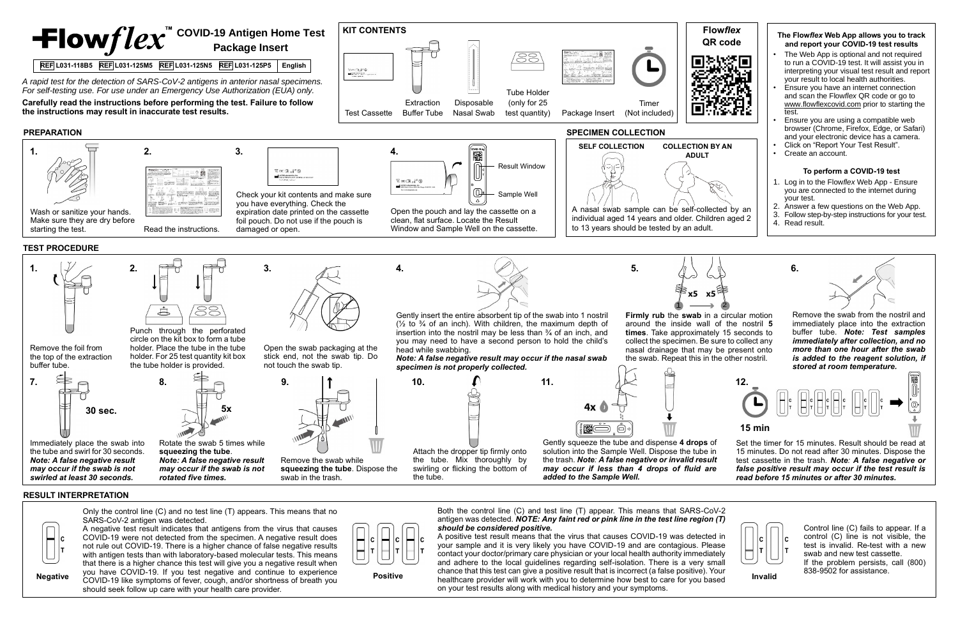# **COVID-19 Antigen Home Test Package Insert**



# **REF L031-118B5 REF L031-125M5 REF L031-125N5 REF L031-125P5 English**

*A rapid test for the detection of SARS-CoV-2 antigens in anterior nasal specimens. For self-testing use. For use under an Emergency Use Authorization (EUA) only.*

**Carefully read the instructions before performing the test. Failure to follow the instructions may result in inaccurate test results.**

Tube Holder (only for 25

Disposable

**Extraction** 

on Chairmen 

Timer

and alliance in





*may occur if the swab is not swirled at least 30 seconds.*



*may occur if the swab is not* 

*rotated five times.*

swirling or flicking the bottom of

the tube.

Test Cassette Buffer Tube Nasal Swab test quantity)

- The Web App is optional and not required to run a COVID-19 test. It will assist you in interpreting your visual test result and report your result to local health authorities.
- Ensure you have an internet connection and scan the Flow*flex* QR code or go to [www.flowflexcovid.com](https://flowflexcovid.com/) prior to starting the test.
- Ensure you are using a compatible web browser (Chrome, Firefox, Edge, or Safari)
- 
- 

- 
- 
- Follow step-by-step instructions for your test.
- 

*may occur if less than 4 drops of fluid are* 

*added to the Sample Well.*

**squeezing the tube**. Dispose the

swab in the trash.

test cassette in the trash. *Note: A false negative or false positive result may occur if the test result is read before 15 minutes or after 30 minutes.*



**RESULT INTERPRETATION**

Only the control line (C) and no test line (T) appears. This means that no SARS-CoV-2 antigen was detected.

A negative test result indicates that antigens from the virus that causes COVID-19 were not detected from the specimen. A negative result does not rule out COVID-19. There is a higher chance of false negative results with antigen tests than with laboratory-based molecular tests. This means that there is a higher chance this test will give you a negative result when you have COVID-19. If you test negative and continue to experience



COVID-19 like symptoms of fever, cough, and/or shortness of breath you should seek follow up care with your health care provider.



Both the control line (C) and test line (T) appear. This means that SARS-CoV-2 antigen was detected. *NOTE: Any faint red or pink line in the test line region (T) should be considered positive.*

A positive test result means that the virus that causes COVID-19 was detected in your sample and it is very likely you have COVID-19 and are contagious. Please contact your doctor/primary care physician or your local health authority immediately and adhere to the local guidelines regarding self-isolation. There is a very small chance that this test can give a positive result that is incorrect (a false positive). Your Negative you have covid-19. If you test hegative and continue to experience<br> **Positive Invalid Invalid Invalid Invalid Invalid Invalid Invalid Invalid Invalid Invalid Invalid** on your test results along with medical history and your symptoms.

Control line (C) fails to appear. If a control (C) line is not visible, the test is invalid. Re-test with a new swab and new test cassette. If the problem persists, call (800) 838-9502 for assistance.

# **The Flow***flex* **Web App allows you to track and report your COVID-19 test results**

```
Positive
```